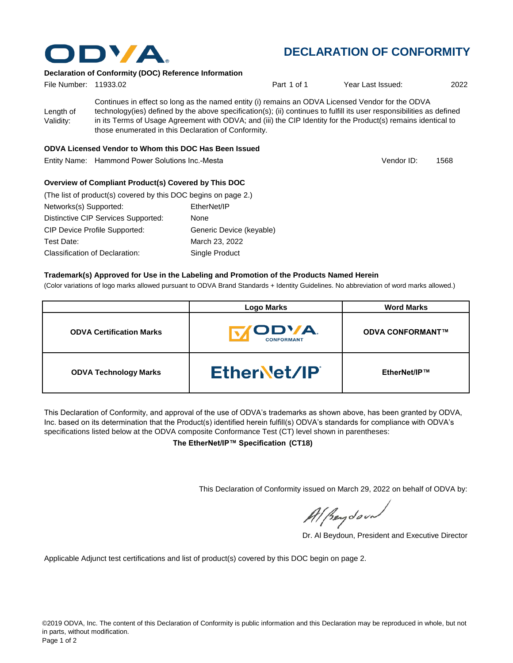

# **DECLARATION OF CONFORMITY**

### **Declaration of Conformity (DOC) Reference Information**

| File Number: 11933.02  |                                                     | Part 1 of 1                                                                                                                                                                                                                                                                                                                                | Year Last Issued: | 2022 |
|------------------------|-----------------------------------------------------|--------------------------------------------------------------------------------------------------------------------------------------------------------------------------------------------------------------------------------------------------------------------------------------------------------------------------------------------|-------------------|------|
| Length of<br>Validity: | those enumerated in this Declaration of Conformity. | Continues in effect so long as the named entity (i) remains an ODVA Licensed Vendor for the ODVA<br>technology(ies) defined by the above specification(s); (ii) continues to fulfill its user responsibilities as defined<br>in its Terms of Usage Agreement with ODVA; and (iii) the CIP Identity for the Product(s) remains identical to |                   |      |

### **ODVA Licensed Vendor to Whom this DOC Has Been Issued**

Entity Name: Hammond Power Solutions Inc.-Mesta

1568 Vendor ID:

## **Overview of Compliant Product(s) Covered by This DOC**

| (The list of product(s) covered by this DOC begins on page 2.) |                          |
|----------------------------------------------------------------|--------------------------|
| Networks(s) Supported:                                         | EtherNet/IP              |
| Distinctive CIP Services Supported:                            | None                     |
| <b>CIP Device Profile Supported:</b>                           | Generic Device (keyable) |
| Test Date:                                                     | March 23, 2022           |
| Classification of Declaration:                                 | Single Product           |

#### **Trademark(s) Approved for Use in the Labeling and Promotion of the Products Named Herein**

(Color variations of logo marks allowed pursuant to ODVA Brand Standards + Identity Guidelines. No abbreviation of word marks allowed.)

|                                 | <b>Logo Marks</b>                  | <b>Word Marks</b>       |
|---------------------------------|------------------------------------|-------------------------|
| <b>ODVA Certification Marks</b> | <b>CODVA.</b><br><b>CONFORMANT</b> | <b>ODVA CONFORMANT™</b> |
| <b>ODVA Technology Marks</b>    | EtherNet/IP                        | EtherNet/IP™            |

This Declaration of Conformity, and approval of the use of ODVA's trademarks as shown above, has been granted by ODVA, Inc. based on its determination that the Product(s) identified herein fulfill(s) ODVA's standards for compliance with ODVA's specifications listed below at the ODVA composite Conformance Test (CT) level shown in parentheses:

**The EtherNet/IP™ Specification (CT18)**

This Declaration of Conformity issued on March 29, 2022 on behalf of ODVA by:

Al Beydoor

Dr. Al Beydoun, President and Executive Director

Applicable Adjunct test certifications and list of product(s) covered by this DOC begin on page 2.